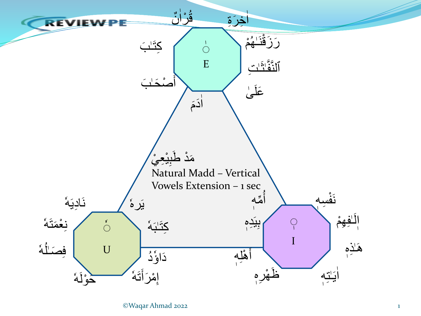

©Waqar Ahmad 2022 1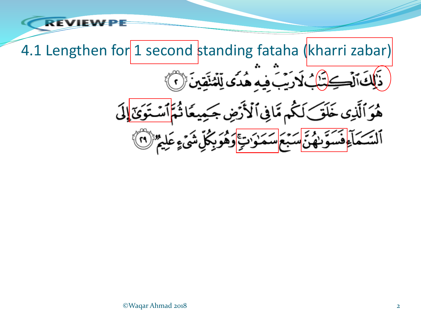4.1 Lengthen for 1 second standing fataha (kharri zabar) .<br>بافيهِ هُدَى لِّلْمُنَّقِينَ ۞ هُوَٱلَّذِي خَلَقَ لَكُم مَّافِي ٱلْأَرْضِ جَـٰمِيعًا س<sup>ه پر</sup> سکود<del>ی</del> کر ألتشيئ

**REVIEV**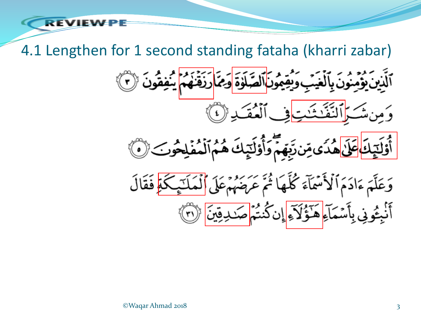4.1 Lengthen for 1 second standing fataha (kharri zabar)

صَلَوْةَ ادَيمَهَ

مزوير<br>العق





## ©Waqar Ahmad 2018 3

REVIE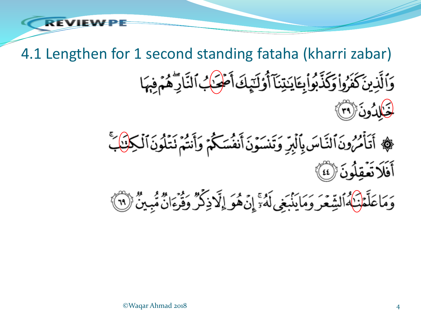4.1 Lengthen for 1 second standing fataha (kharri zabar) وَٱلَّذِينَ كَفَرُواْ وَكَذَّبُواْبِتَايَنِيْنَآ أَوْلَيِّكَ أَصْحَكُ ٱلنَّارِكُمُ مَنِهَا لْغَالِدُونَ (٣٦) ﴾ أَتَأْمُرُونَ ٱلنَّاسَ بِٱلۡبِرِّ وَتَنسَوۡنَ أَنفُسَكُمۡ وَأَنتُمۡ نَتَٰلُونَ ٱلۡكِلۡنَٰٓابَ

أَفَلَا تَعْقِلُونَ ﴿ لَمْنَا ۖ

وَمَاعَلَّمْنَكُمُأَلِشِّعَرَ وَمَايَنْبَغِي لَمُّ ۚ إِنَّهُوَ إِلَّا ذِكْرٌ وَفَرْءَانٌ مُّبِينٌ (٣)

©Waqar Ahmad 2018 4

RFVIEV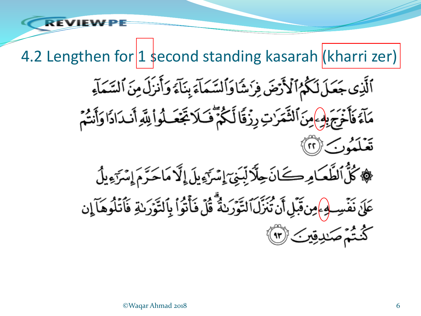4.2 Lengthen for 1 second standing kasarah (kharri zer) ٱلَّذِى جَعَلَ لَكُمُ ٱلْأَرْضَ فِرَشَاوَالسَّمَاءَ بِنَآءَ وَأَنزَلَ مِنَ ٱلسَّمَآءِ مَآءً فَأَخْرَجَ بِهِ }مِنَ ٱلشَّمَرَٰتِ رِزُقًا لَّكُمَّ فَكَلاَ تَجْعَلُواْ لِلَّهِ أَندَادًا وَأَنشُم قعبكشور مسراتهم ﴾ كُلُّ الطَّعَامِرِ كَانَ حِلَّا لِّدِيَ إِسْرَءٍ بِلَ إِلَّا مَاحَرَّمَ إِسْرَءٍ بِلُ عَلَىٰ نَفۡسِـ لِهِۦٖمِن؋َبِل أَن تُنَزَّلَ ٱلتَّوۡرَىٰةُ ۖ قُلۡ فَأۡتُوۡا۟ بِٱلتَّوۡرَىٰةِ فَٱتۡلُوهَآ إِن كُنْتُمُّ صَلدِقِينَ (٣)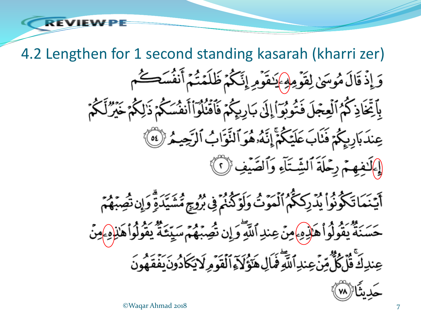4.2 Lengthen for 1 second standing kasarah (kharri zer) وَإِذْقَالَ مُوسَىٰ لِقَوْمِهِمْ يَنْقَوْمِ إِنَّكُمْ ظَلَمْتُمْ أَنفُسَكُم بِٱتِّخَاذِكُمُ ٱلْعِجْلَ فَتُوبُوٓ أَإِلَىٰ بَارِيِكُمۡ فَٱقۡنُلُوٓاْأَنفُسَكُمۡ ذَٰلِكُمۡ خَيۡرُّلَكُمۡ عِندَبَارِيِكُمْ فَنَابَ عَلَيْكُمْ إِنَّهُ هُوَ ٱلنَّوَابُ ٱلرَّحِيمُ (10) [إكْفِهِمْ رِحْلَةَ ٱلشِّتَآءِ وَٱلصَّيْفِ ۞ أَيَّنَمَاتَكُونُواْ يُدَرِكَكُمُ ٱلۡمَوۡتُ وَلَوۡكُنُمۡ فِى بُرُوحٍ مُّشَيِّدَةٍ وَإِن تُصِبۡهُمۡمَ

حَسَنَةً يَقُولُواْ هَلْدِهِ مِنْ عِندِ ٱللَّهِ وَإِن تُصِبْهُمَ سَيِّئَةً يَقُولُواْ هَٰنِ(هِ مِنْ

عِندِكَ قُلْ كُلُّ مِّنَ عِندِ ٱللَّهِ قَمَالِ هَوَ كَذَا ٱلْقَوْمِ لَا يَكَادُونَ يَفْقَهُونَ

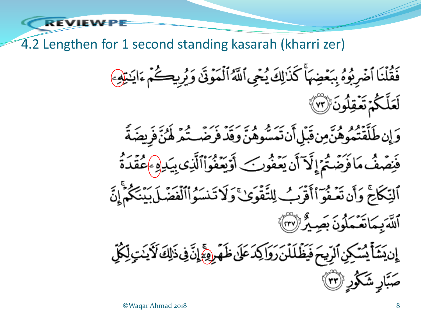4.2 Lengthen for 1 second standing kasarah (kharri zer)

فَقُلْنَا أَضْرِبُوهُ بِبَعْضِهَأَ كَذَٰلِكَ يُجِي أَلَّهُ أَلْمَوْنَىٰ وَيُرِيكُمْ ءَايَنْتِهِمَ لَعَلَّكُمۡ تَعۡقِلُونَ (٣) وَإِن طَلَّقْتُمُوهُنَّمِن قَبْلِ أَن تَمَسُّوهُنَّ وَقَدْ فَرَضَــتُمَرِّ لَهُنَّ فَرِيضَةً فَنِصۡفُ مَافَرَضَتُمۡ إِنَّمَ أَن يَعۡفُونَ ۖ أَوۡيَعۡفُوَاْٱلَّذِى بِيَدِهِ ۚ عُقۡدَةُ ٱلنِّكَاحَ وَأَن تَعۡفُوٓ اٰۚ أَقۡرَبُ لِلتَّقۡوَىٰ ۚ وَلَا تَنسَوُاْٱلۡفَضَلَ بَيۡنَكُمۡۚ إِنَّ ٱللَّهَ بِمَاتَعَمْلُونَ بِصِيْرٌ (٣٧) ٳۣڹؽؘٮۧٲٙؽ*ۺ*ڮڹۣٱڵڔۣۜٙۑؠؘ؋ؘؽؘڟؙڶڶڹؘڔؘۅؘٳڮۮٷؘڹ؋ؘۿٙڔۣۄٵۣٙڐؘڣۣۥؘ۬ٳڮ؆ؘڋؽؾؚڵؚػٛڸ صَبَّارٍ شَكُورٍ (٣)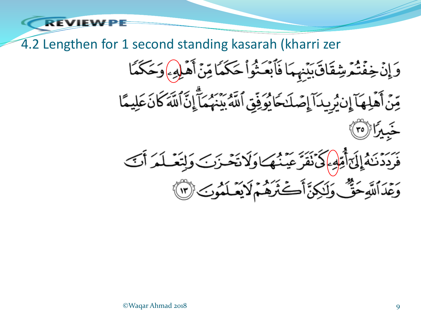4.2 Lengthen for 1 second standing kasarah (kharri zer

RFVIEW

وَإِنۡ خِفۡتُمۡشِقَانَ بَيۡنَهُمَا فَأَبۡعَـٰٓؤُا۟ حَكَمَاۢ مِّنۡ أَهۡلِهِۦ وَحَكَمَا

مِّنَ أَهْلِهَآ إِنْ يُرِيدَآ إِصَلَـٰكَأُوۡوَٰقِ ٱللَّهِ بِيَنۡهُمَآ إِنَّ ٱللَّهَ كَانَ عَلِيمًا

فَرَدَنَهُ إِلَىٰٓ أَمِّهِمْ كَىۡ نَقَرَّعَيۡنُهُكَاوَلَاتَخَـٰزَنَ وَلِتَعۡلَمَ أَنَّ وَعِّدَاللَّهِ حَقٌّ وَلَـٰكِنَّ أَكَثَرَهُمْ لَا يَعْلَمُونَ (٣)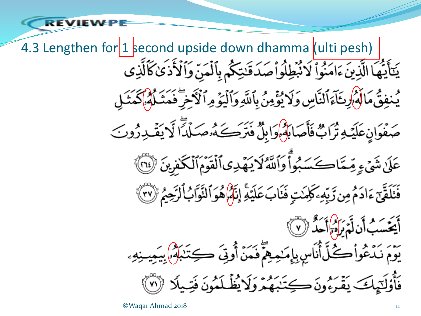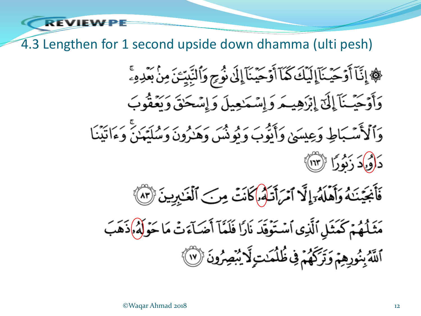4.3 Lengthen for 1 second upside down dhamma (ulti pesh)

REVIEV

﴾ إِنَّآ أَوۡحَيۡنَآإِلَيۡكَ كَمَآ أَوۡحَيۡنَآٳِلَىٰٓ نُوۡحِ وَٱلنَّبِيِّتَنَ مِنۡ بَعۡدِهِۦۚ وَأَوَحَيْـنَآ إِلَىٰٓ إِبۡزَهِيـمَ وَإِسۡمَٰعِيلَ وَإِسۡحَٰقَ وَيَعۡفُوبَ وَٱلۡأَمَّـبَاطِ وَعِيسَهُ، وَأَنَّوۡبَ وَ نُومُشَ وَهَذُونَ وَسُلَّعۡنَ وَءَاتِيۡنَا

- دَ(وْكَدَ زَنُورًا ﴿ ٱلْآلَامِ
- فَأَجْيَنَـٰهُ وَأَهْلَهُ وَإِنَّمَ ٱمْرَأَتَـٰهُۥ) كَانَتْ مِنَ ٱلْغَـٰبِرِينَ ۞

مَثَلُهُمۡ كَمَثَلِ ٱلَّذِى ٱسۡنَوۡقَدَ نَارًا فَلَمَّآ أَضَآءَتۡ مَا حَوۡلَهُۥإِذَهَبَ ٱللَّهُ بِنُورِهِمْ وَتَرَكَّهُمْ فِي ظُلُمَنتِ لَآ يُبْصِرُونَ ۞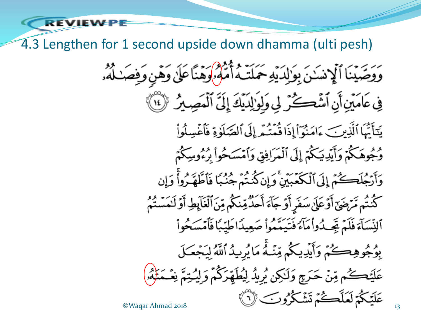4.3 Lengthen for 1 second upside down dhamma (ulti pesh)

وَوَصَّيْنَا أَلْإِنسَنَ بِوَٰإِلَهَ يَهِ حَمَلَتَهُ أَمَّلُوْهُ وَهَيَّا عَلَىٰ وَهَنٍ وَفِصَـٰلُهُۥ

فِي عَامَيْنِ أَنِ ٱشْكُرْ لِي وَلِوَٰ لِلَّذِيكَ إِلَيَّ ٱلْمَصِيرُ ۚ (لَا ٱ

يَتَأَيُّهَا ٱلَّذِينَ ءَامَنُوَٱإِذَا قُمَتُهُمْ إِلَى ٱلصَّلَوٰةِ فَأَغۡسِلُوا۟ وُجُوهَكُمْ وَأَيَدِيَكُمْ إِلَى ٱلْمَرَافِقِ وَٱمْسَحُواْ بِرُءُوسِكُمْ

وَأَرْجُلَكَحُمْ إِلَى ٱلْكَعَبَيْنِ ۚ وَإِن كُنتُمْ جُنُبًا فَأَطَّهَـٰرُواْۚ وَإِن كَنْتُم مَّرْضَىٰٓ أَوَعَلَىٰ سَفَرٍ أَوَ جَآءَ أَحَدٌّ مِّنذَكُم مِّنَ ٱلْغَآبِطِ أَوَ لَـٰمَسَّتُمُ

ٱلِنِّسَآءَ فَلَمۡ تِجِيدُواْمَآءَ فَتَيَمَّعُوا۟ صَعِيدًاطَيِّبَاۚ فَأَمۡسَحُوا۟

بِوُجُوهِكُمْ وَأَيْدِيكُمْ مِّنَّهُّ مَا يُرِيدُ ٱللَّهُ لِيَجْعَلَ

عَلَيۡڪُم مِّنۡ حَرَجِ وَلَـٰكِن يُرِيدُ لِيُطَهِّرَكُمۡ وَلِيُـٰتِمَّ نِعۡـَمَٰلِهُۥۢ

عَلَيْكُمْ لَعَلَّكْتُمْ تَشْكُرُوبَ ۞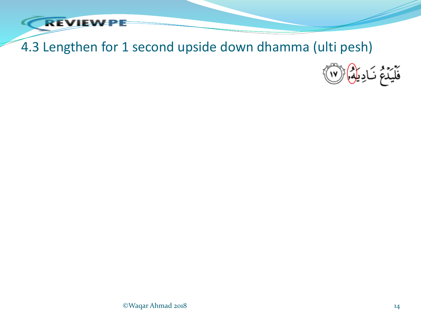

## 4.3 Lengthen for 1 second upside down dhamma (ulti pesh)

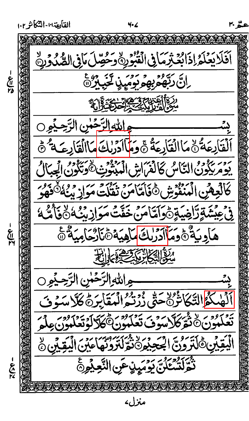القايعة ١٠٠ التكأثر ١٠٢ 4.6 اَفَلَا يَعْلَمُ إِذَائِعَ ثِرَ مَا فِى الْقُبُورِ وَحَصِّلَ مَافِى الصَّدُورِ ﴾ رانَ رَبَّهُمْ بِهِمْ رَوَيِ بِهِ مَعْ مِنْ مَعْ خ<br>معر<br>مع درة المتوج ويدين المن المن اللوالزَخْسِ الرَّحِيْمِ ُلۡقَاٰلِهَةُ ۗ مَا الۡقَاٰلِهَةُ جَوَمَا ٱدۡرَٰلِّ مَا ٱلۡقَاٰلِهَةُ \* \* \* بروس<sup>3</sup>وو التَّاسُ كَانْمَ ابِنِّ ابْرُبُّوْتِ لَا يَنْدُوو الْجِبَالُ كَالْعِفْنِ الْمُنْفُوشِ ݣَانَامَامَنْ تَقْلُتْ مَوَازِينِي فَكُرْفِيهِ ڣۣ<sub>ڮ</sub>ۼؽۺؘۊؚڗٳۻۑؘۊؚؚ۞ؗۅؘٳؾٵڡڹ؞ڂۜڦٞؾؙڡۅؘٳۯٮ<sup>ڹ</sup>ٛ؋۞ٚۿ؇ ۿٳۅۑؘڎ۠؈ؖ۠ۄؘڡ<mark>ٵٲۯڔڸػ</mark>ؠٳڡۑؘۣۮٙڞٙٵۯ۠ڬٳڡۑؘڎ۠ڞ بع<br>الم الكاثرة في الاسترابة جرالله الرَّحَلُنِ الرَّحِيْوِنِ <u>ؙ؉ڴ</u>ٳٳؾٞڮٚٳؾ۠ٷڐڿۄٞڔۯڗ<sub>ڂ</sub>ڔٳڸؠڡؘؘٳڽۯؙٙٙ؏ڴڒڛؘۮٟؽ لَّهُوْنَ۞نَّقِرْكَلَاسَوْفَ تَعْلَمُوْنَ۞كَلَّالَوُتَعْلَمُونَ عِلْمَ *ڵڹُ*قِيِّنِ ݣَلْتَرُونَ الْجَعِيْمِ۞نَّةِ لَتَرَوُّنَّهَا عَيْنَ الْيَقِيِّنِ  $\Diamond$ نْتَرَكَ تَنْتَنَى يَوْمَيِنٍ عَنِ النَّعِيْمِ ことに منزارء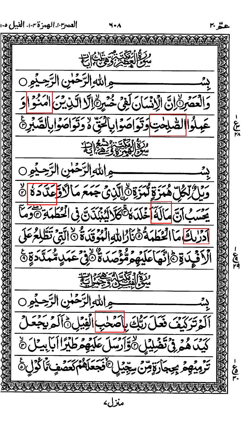

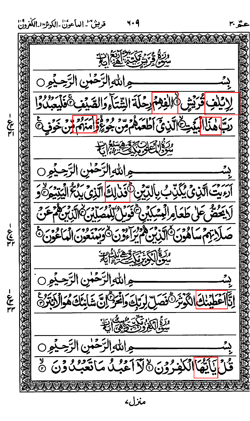قربينٌ" الهاَعونْ الكوثرُ الكُفرُونُ ةُ مِرْيَتَ مِنْ الْكَمَ الَّذِينَ ج الله الرَّحَلُنِ الرَّحِيْمِ 0 V  $-\frac{1}{2}$ رَبَّا هَنَا الْبَيْتِ الَّذِيَّ أَطْعَمْ بِنِ وَ وَلَا أَسَرُوا وَ وَلَى دَرَنَّ . مِ اللهِ الرَّحَٰسِ الرَّحِيْمِ ٲ*ۯٶؘ*ؽۣؾ۩ڵڕ۬ؽؙؽػڋڹٵۑٳڵڸؠٞؽ۞ؖۏؘۮڸڬ<mark>ٵ</mark>ڷڒؽؽؘۑؽڴٳڷؽۣڗؽۄؙڴۅ لَا يَحْضُّ عَلَىٰ طَعَامِ الْمِسْكِيْنِ ثَعْوَىٰ الْمُصِلِّينَ الَّذِينَ مَعْ يَ <u> الزام سادون الزبن ووراووس المردود ومن الماعون</u> **-260-**<u>ٵؘٳڮؾ؆ۣٙڲڟۣ</u>ؘڸڋ جالله الرَّحَلُنِ الرَّحِيْمِ  $\frac{1}{2}f^2f^2$ عُطِينِكَ الْكَوْتَرَنَّ فَصَلِّ لِرَّبِّكَ وَالْحَرَّ إِنَّ شَابِئَكَ هُوَالْرَجَرَةِ عَ جرالله الرَّحَلُنِ الرَّحِيْجِ وي استانتها **الْكَفّْرُوْنَ۞لآاَعْبُلْمَاتّْعَبْلُاوْنَ۞** منزلء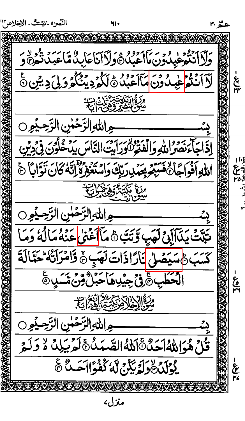